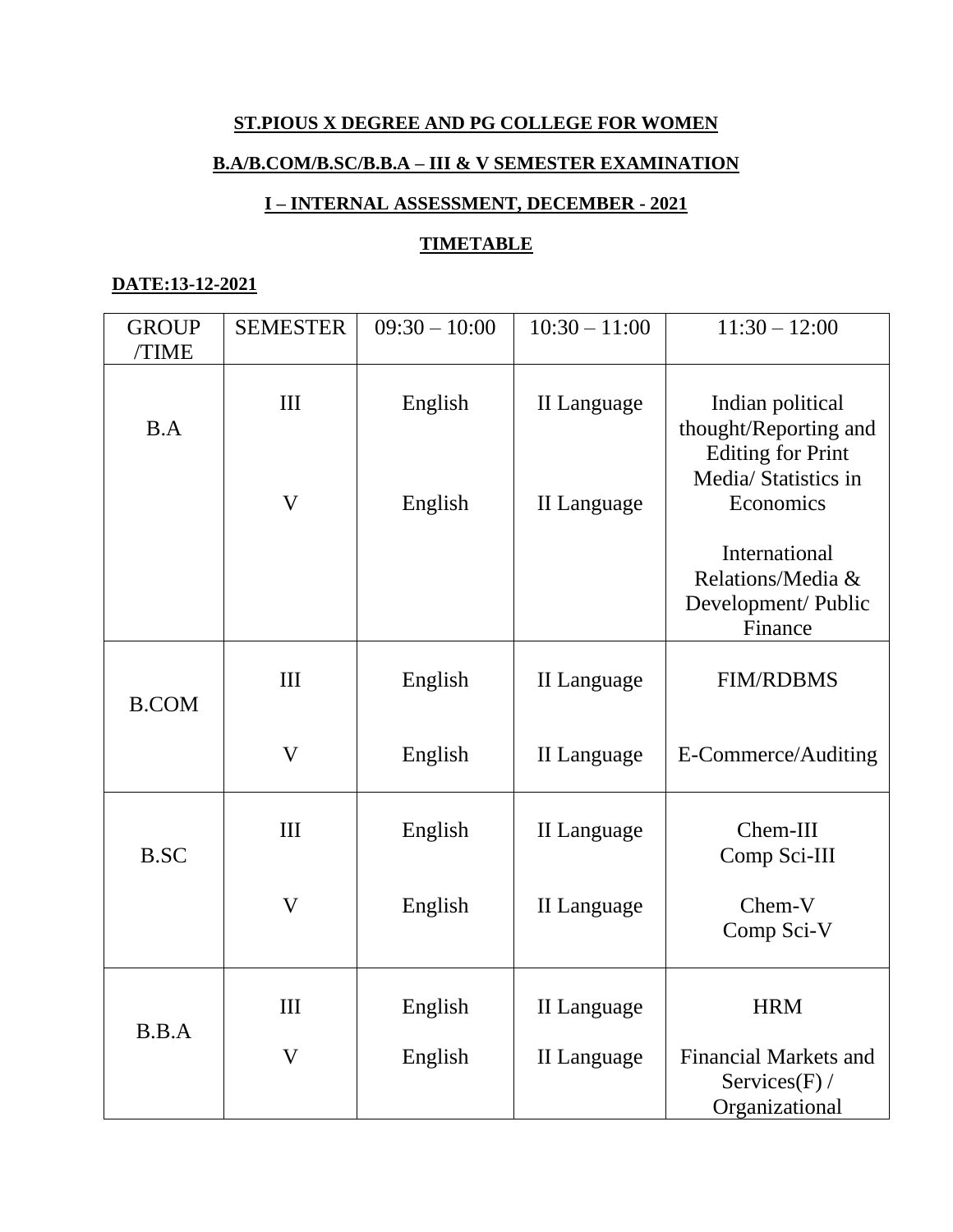# **ST.PIOUS X DEGREE AND PG COLLEGE FOR WOMEN**

# **B.A/B.COM/B.SC/B.B.A – III & V SEMESTER EXAMINATION**

# **I – INTERNAL ASSESSMENT, DECEMBER - 2021**

### **TIMETABLE**

#### **DATE:13-12-2021**

| <b>GROUP</b><br>/TIME | <b>SEMESTER</b>           | $09:30 - 10:00$    | $10:30 - 11:00$            | $11:30 - 12:00$                                                                                            |
|-----------------------|---------------------------|--------------------|----------------------------|------------------------------------------------------------------------------------------------------------|
| B.A                   | III<br>$\mathbf V$        | English<br>English | II Language<br>II Language | Indian political<br>thought/Reporting and<br><b>Editing for Print</b><br>Media/ Statistics in<br>Economics |
|                       |                           |                    |                            | International<br>Relations/Media &<br>Development/ Public<br>Finance                                       |
| <b>B.COM</b>          | III                       | English            | II Language                | <b>FIM/RDBMS</b>                                                                                           |
|                       | $\boldsymbol{\mathrm{V}}$ | English            | II Language                | E-Commerce/Auditing                                                                                        |
| <b>B.SC</b>           | III                       | English            | II Language                | Chem-III<br>Comp Sci-III                                                                                   |
|                       | $\boldsymbol{\mathrm{V}}$ | English            | II Language                | Chem-V<br>Comp Sci-V                                                                                       |
| B.B.A                 | III                       | English            | <b>II</b> Language         | <b>HRM</b>                                                                                                 |
|                       | $\boldsymbol{\mathrm{V}}$ | English            | <b>II</b> Language         | <b>Financial Markets and</b><br>Services $(F)$ /<br>Organizational                                         |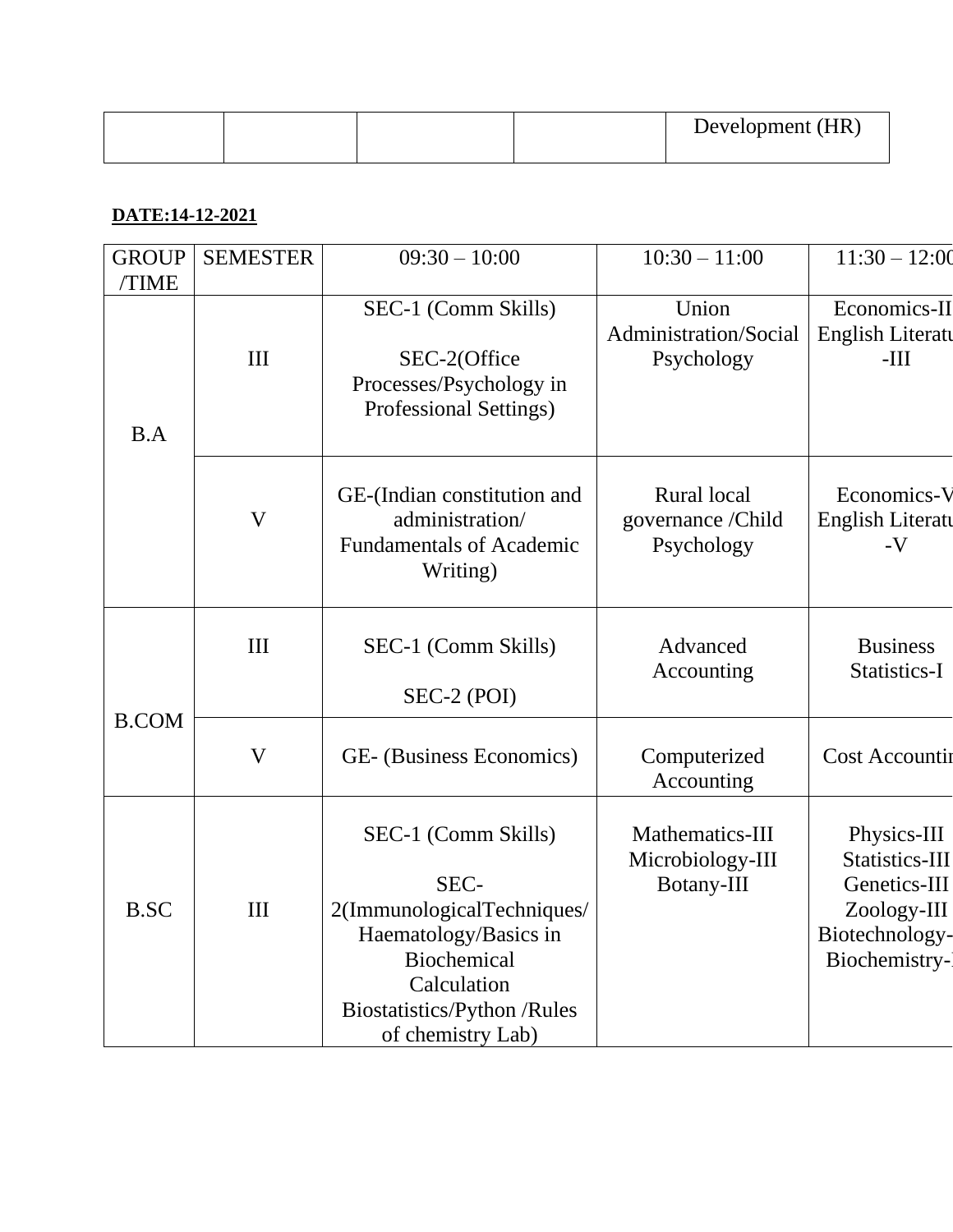|  |  | Development (HR) |
|--|--|------------------|
|  |  |                  |

# **DATE:14-12-2021**

| <b>GROUP</b> | <b>SEMESTER</b>           | $09:30 - 10:00$                                                                                                                                                            | $10:30 - 11:00$                                   | $11:30 - 12:00$                                                                                 |
|--------------|---------------------------|----------------------------------------------------------------------------------------------------------------------------------------------------------------------------|---------------------------------------------------|-------------------------------------------------------------------------------------------------|
| <b>TIME</b>  |                           |                                                                                                                                                                            |                                                   |                                                                                                 |
| B.A          | III                       | SEC-1 (Comm Skills)<br>SEC-2(Office<br>Processes/Psychology in<br>Professional Settings)                                                                                   | Union<br>Administration/Social<br>Psychology      | Economics-II<br><b>English Literatu</b><br>$-III$                                               |
|              | V                         | GE-(Indian constitution and<br>administration/<br><b>Fundamentals of Academic</b><br>Writing)                                                                              | Rural local<br>governance / Child<br>Psychology   | Economics-V<br>English Literatu<br>$-V$                                                         |
|              | III                       | SEC-1 (Comm Skills)<br>SEC-2 (POI)                                                                                                                                         | Advanced<br>Accounting                            | <b>Business</b><br>Statistics-I                                                                 |
| <b>B.COM</b> | $\boldsymbol{\mathrm{V}}$ | GE- (Business Economics)                                                                                                                                                   | Computerized<br>Accounting                        | <b>Cost Accountin</b>                                                                           |
| <b>B.SC</b>  | III                       | SEC-1 (Comm Skills)<br>SEC-<br>2(ImmunologicalTechniques/<br>Haematology/Basics in<br><b>Biochemical</b><br>Calculation<br>Biostatistics/Python/Rules<br>of chemistry Lab) | Mathematics-III<br>Microbiology-III<br>Botany-III | Physics-III<br>Statistics-III<br>Genetics-III<br>Zoology-III<br>Biotechnology-<br>Biochemistry- |